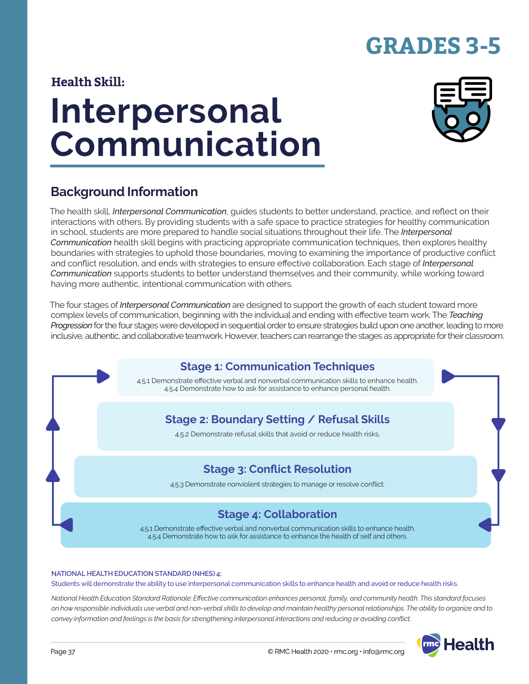# **GRADES 3-5**

### **Health Skill:**

# **Interpersonal Communication**



### **Background Information**

The health skill, *Interpersonal Communication*, guides students to better understand, practice, and reflect on their interactions with others. By providing students with a safe space to practice strategies for healthy communication in school, students are more prepared to handle social situations throughout their life. The *Interpersonal Communication* health skill begins with practicing appropriate communication techniques, then explores healthy boundaries with strategies to uphold those boundaries, moving to examining the importance of productive conflict and conflict resolution, and ends with strategies to ensure effective collaboration. Each stage of *Interpersonal Communication* supports students to better understand themselves and their community, while working toward having more authentic, intentional communication with others.

The four stages of *Interpersonal Communication* are designed to support the growth of each student toward more complex levels of communication, beginning with the individual and ending with effective team work. The *Teaching Progression* for the four stages were developed in sequential order to ensure strategies build upon one another, leading to more inclusive, authentic, and collaborative teamwork. However, teachers can rearrange the stages as appropriate for their classroom.



#### **NATIONAL HEALTH EDUCATION STANDARD (NHES) 4:**

Students will demonstrate the ability to use interpersonal communication skills to enhance health and avoid or reduce health risks.

*National Health Education Standard Rationale: Effective communication enhances personal, family, and community health. This standard focuses on how responsible individuals use verbal and non-verbal skills to develop and maintain healthy personal relationships. The ability to organize and to convey information and feelings is the basis for strengthening interpersonal interactions and reducing or avoiding conflict.*

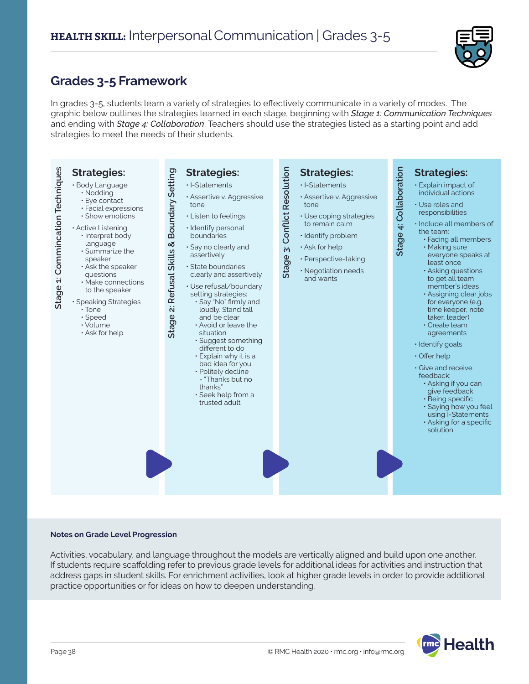

### **Grades 3-5 Framework**

In grades 3-5, students learn a variety of strategies to effectively communicate in a variety of modes. The graphic below outlines the strategies learned in each stage, beginning with *Stage 1: Communication Techniques* and ending with *Stage 4: Collaboration*. Teachers should use the strategies listed as a starting point and add strategies to meet the needs of their students.



#### **Notes on Grade Level Progression**

Activities, vocabulary, and language throughout the models are vertically aligned and build upon one another. If students require scaffolding refer to previous grade levels for additional ideas for activities and instruction that address gaps in student skills. For enrichment activities, look at higher grade levels in order to provide additional practice opportunities or for ideas on how to deepen understanding.

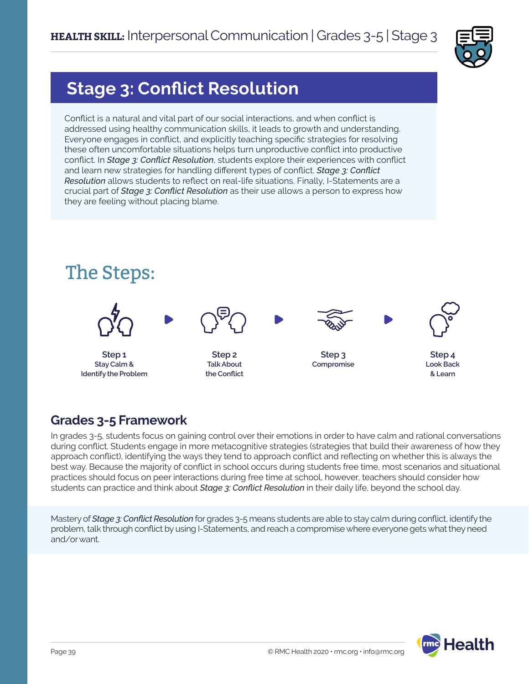

# **Stage 3: Conflict Resolution**

Conflict is a natural and vital part of our social interactions, and when conflict is addressed using healthy communication skills, it leads to growth and understanding. Everyone engages in conflict, and explicitly teaching specific strategies for resolving these often uncomfortable situations helps turn unproductive conflict into productive conflict. In *Stage 3: Conflict Resolution*, students explore their experiences with conflict and learn new strategies for handling different types of conflict. *Stage 3: Conflict Resolution* allows students to reflect on real-life situations. Finally, I-Statements are a crucial part of *Stage 3: Conflict Resolution* as their use allows a person to express how they are feeling without placing blame.



### **Grades 3-5 Framework**

In grades 3-5, students focus on gaining control over their emotions in order to have calm and rational conversations during conflict. Students engage in more metacognitive strategies (strategies that build their awareness of how they approach conflict), identifying the ways they tend to approach conflict and reflecting on whether this is always the best way. Because the majority of conflict in school occurs during students free time, most scenarios and situational practices should focus on peer interactions during free time at school, however, teachers should consider how students can practice and think about *Stage 3: Conflict Resolution* in their daily life, beyond the school day.

Mastery of *Stage 3: Conflict Resolution* for grades 3-5 means students are able to stay calm during conflict, identify the problem, talk through conflict by using I-Statements, and reach a compromise where everyone gets what they need and/or want.

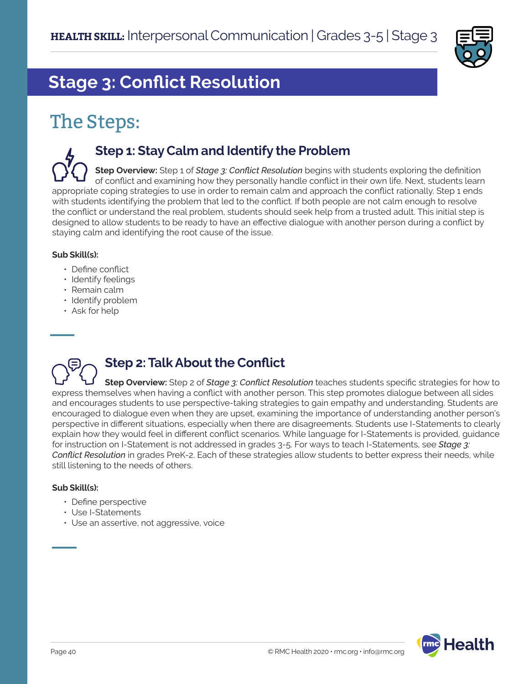

# **Stage 3: Conflict Resolution**

# The Steps:

### **Step 1: Stay Calm and Identify the Problem**

**Step Overview:** Step 1 of *Stage 3: Conflict Resolution* begins with students exploring the definition of conflict and examining how they personally handle conflict in their own life. Next, students learn appropriate coping strategies to use in order to remain calm and approach the conflict rationally. Step 1 ends with students identifying the problem that led to the conflict. If both people are not calm enough to resolve the conflict or understand the real problem, students should seek help from a trusted adult. This initial step is designed to allow students to be ready to have an effective dialogue with another person during a conflict by staying calm and identifying the root cause of the issue.

### **Sub Skill(s):**

- Define conflict
- Identify feelings
- Remain calm
- Identify problem
- Ask for help



## **Step 2: Talk About the Conflict**

**Step Overview:** Step 2 of *Stage 3: Conflict Resolution* teaches students specific strategies for how to express themselves when having a conflict with another person. This step promotes dialogue between all sides and encourages students to use perspective-taking strategies to gain empathy and understanding. Students are encouraged to dialogue even when they are upset, examining the importance of understanding another person's perspective in different situations, especially when there are disagreements. Students use I-Statements to clearly explain how they would feel in different conflict scenarios. While language for I-Statements is provided, guidance for instruction on I-Statement is not addressed in grades 3-5. For ways to teach I-Statements, see *Stage 3: Conflict Resolution* in grades PreK-2. Each of these strategies allow students to better express their needs, while still listening to the needs of others.

#### **Sub Skill(s):**

- Define perspective
- Use I-Statements
- Use an assertive, not aggressive, voice

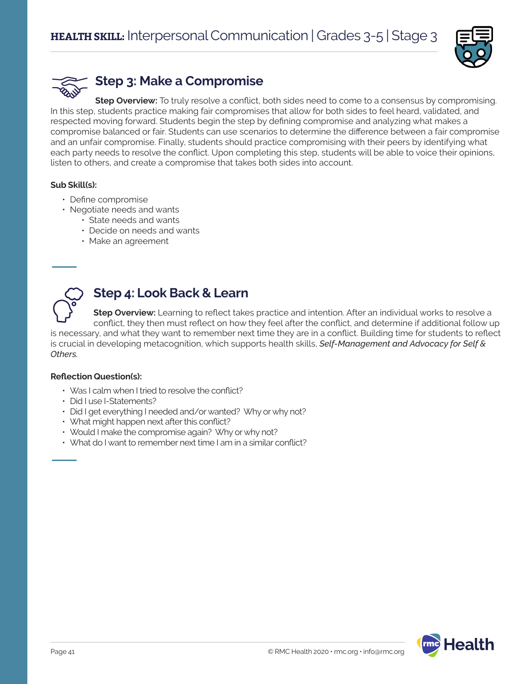



### **Step 3: Make a Compromise**

**Step Overview:** To truly resolve a conflict, both sides need to come to a consensus by compromising. In this step, students practice making fair compromises that allow for both sides to feel heard, validated, and respected moving forward. Students begin the step by defining compromise and analyzing what makes a compromise balanced or fair. Students can use scenarios to determine the difference between a fair compromise and an unfair compromise. Finally, students should practice compromising with their peers by identifying what each party needs to resolve the conflict. Upon completing this step, students will be able to voice their opinions, listen to others, and create a compromise that takes both sides into account.

#### **Sub Skill(s):**

- Define compromise
- Negotiate needs and wants
	- State needs and wants
	- Decide on needs and wants
	- Make an agreement



### **Step 4: Look Back & Learn**

**Step Overview:** Learning to reflect takes practice and intention. After an individual works to resolve a conflict, they then must reflect on how they feel after the conflict, and determine if additional follow up

is necessary, and what they want to remember next time they are in a conflict. Building time for students to reflect is crucial in developing metacognition, which supports health skills, *Self-Management and Advocacy for Self & Others.*

#### **Reflection Question(s):**

- Was I calm when I tried to resolve the conflict?
- Did I use I-Statements?
- Did I get everything I needed and/or wanted? Why or why not?
- What might happen next after this conflict?
- Would I make the compromise again? Why or why not?
- What do I want to remember next time I am in a similar conflict?